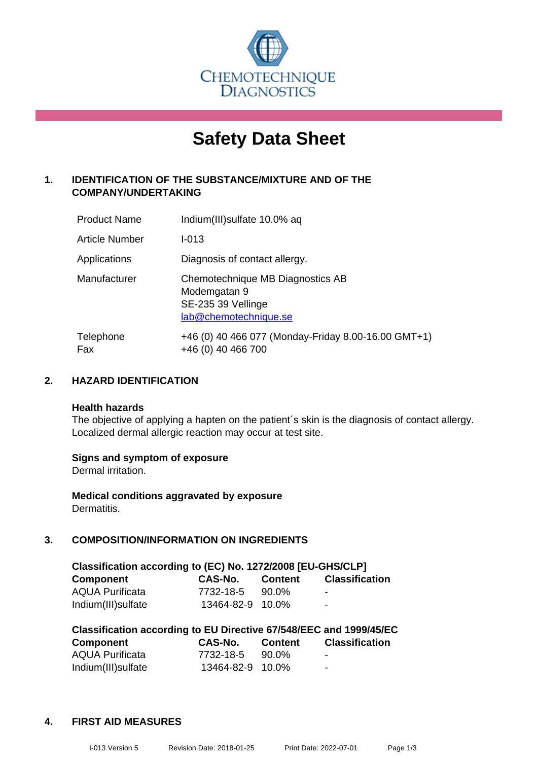

# **Safety Data Sheet**

# **1. IDENTIFICATION OF THE SUBSTANCE/MIXTURE AND OF THE COMPANY/UNDERTAKING**

| <b>Product Name</b> | Indium(III) sulfate 10.0% ag                                                                    |
|---------------------|-------------------------------------------------------------------------------------------------|
| Article Number      | $I - 013$                                                                                       |
| Applications        | Diagnosis of contact allergy.                                                                   |
| Manufacturer        | Chemotechnique MB Diagnostics AB<br>Modemgatan 9<br>SE-235 39 Vellinge<br>lab@chemotechnique.se |
| Telephone<br>Fax    | +46 (0) 40 466 077 (Monday-Friday 8.00-16.00 GMT+1)<br>+46 (0) 40 466 700                       |

## **2. HAZARD IDENTIFICATION**

#### **Health hazards**

The objective of applying a hapten on the patient's skin is the diagnosis of contact allergy. Localized dermal allergic reaction may occur at test site.

#### **Signs and symptom of exposure**

Dermal irritation.

**Medical conditions aggravated by exposure** Dermatitis.

# **3. COMPOSITION/INFORMATION ON INGREDIENTS**

| Classification according to (EC) No. 1272/2008 [EU-GHS/CLP] |                  |                |                       |
|-------------------------------------------------------------|------------------|----------------|-----------------------|
| <b>Component</b>                                            | CAS-No.          | <b>Content</b> | <b>Classification</b> |
| <b>AQUA Purificata</b>                                      | 7732-18-5        | 90.0%          | $\sim$                |
| Indium(III) sulfate                                         | 13464-82-9 10.0% |                | $\blacksquare$        |

| Classification according to EU Directive 67/548/EEC and 1999/45/EC |                  |                |                       |  |
|--------------------------------------------------------------------|------------------|----------------|-----------------------|--|
| <b>Component</b>                                                   | CAS-No.          | <b>Content</b> | <b>Classification</b> |  |
| <b>AQUA Purificata</b>                                             | 7732-18-5        | 90.0%          | ٠                     |  |
| Indium(III) sulfate                                                | 13464-82-9 10.0% |                | -                     |  |

#### **4. FIRST AID MEASURES**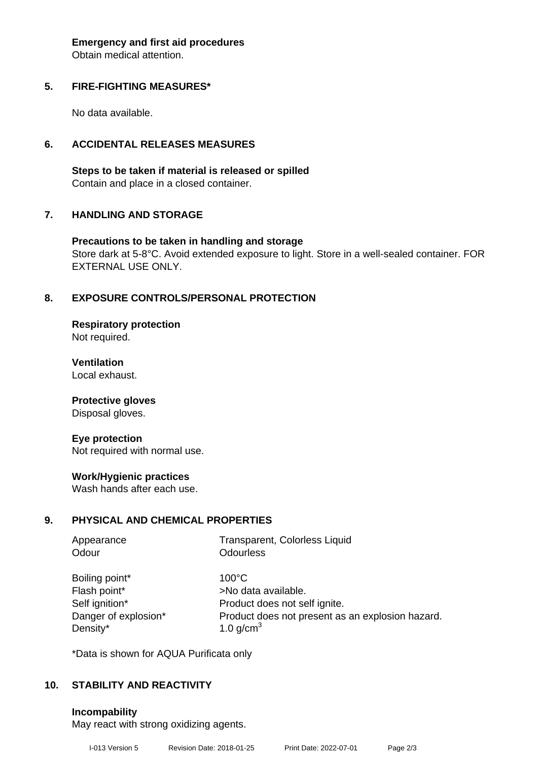**Emergency and first aid procedures**

Obtain medical attention.

## **5. FIRE-FIGHTING MEASURES\***

No data available.

## **6. ACCIDENTAL RELEASES MEASURES**

**Steps to be taken if material is released or spilled** Contain and place in a closed container.

## **7. HANDLING AND STORAGE**

**Precautions to be taken in handling and storage** Store dark at 5-8°C. Avoid extended exposure to light. Store in a well-sealed container. FOR EXTERNAL USE ONLY.

# **8. EXPOSURE CONTROLS/PERSONAL PROTECTION**

**Respiratory protection** Not required.

**Ventilation** Local exhaust.

**Protective gloves**

Disposal gloves.

#### **Eye protection**

Not required with normal use.

#### **Work/Hygienic practices**

Wash hands after each use.

#### **9. PHYSICAL AND CHEMICAL PROPERTIES**

| Appearance<br>Odour  | Transparent, Colorless Liquid<br><b>Odourless</b> |
|----------------------|---------------------------------------------------|
| Boiling point*       | $100^{\circ}$ C                                   |
| Flash point*         | >No data available.                               |
| Self ignition*       | Product does not self ignite.                     |
| Danger of explosion* | Product does not present as an explosion hazard.  |
| Density*             | 1.0 $g/cm3$                                       |

\*Data is shown for AQUA Purificata only

# **10. STABILITY AND REACTIVITY**

**Incompability**

May react with strong oxidizing agents.